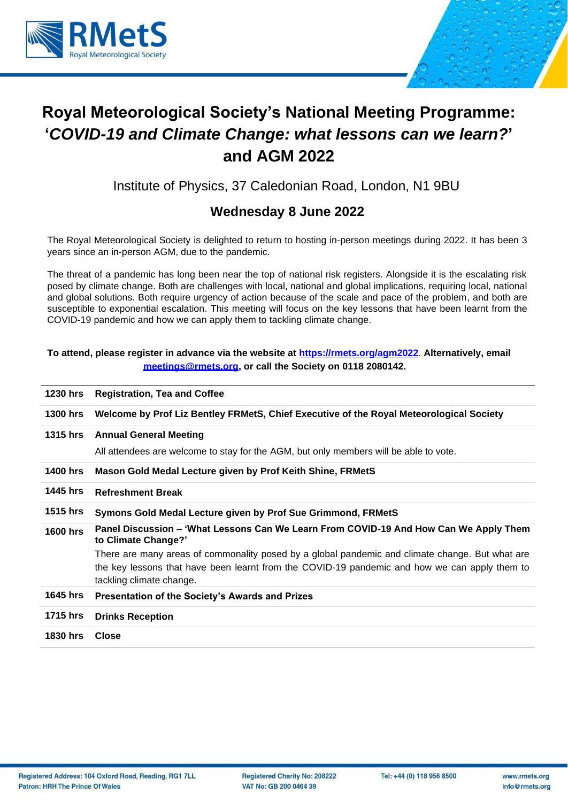



Institute of Physics, 37 Caledonian Road, London, N1 9BU

### **Wednesday 8 June 2022**

The Royal Meteorological Society is delighted to return to hosting in-person meetings during 2022. It has been 3 years since an in-person AGM, due to the pandemic.

The threat of a pandemic has long been near the top of national risk registers. Alongside it is the escalating risk posed by climate change. Both are challenges with local, national and global implications, requiring local, national and global solutions. Both require urgency of action because of the scale and pace of the problem, and both are susceptible to exponential escalation. This meeting will focus on the key lessons that have been learnt from the COVID-19 pandemic and how we can apply them to tackling climate change.

#### **To attend, please register in advance via the website at <https://rmets.org/agm2022>**. **Alternatively, email [meetings@rmets.org, o](mailto:meetings@rmets.org)r call the Society on 0118 2080142.**

| 1230 hrs        | <b>Registration, Tea and Coffee</b>                                                                          |
|-----------------|--------------------------------------------------------------------------------------------------------------|
| <b>1300 hrs</b> | Welcome by Prof Liz Bentley FRMetS, Chief Executive of the Royal Meteorological Society                      |
| 1315 hrs        | <b>Annual General Meeting</b>                                                                                |
|                 | All attendees are welcome to stay for the AGM, but only members will be able to vote.                        |
| 1400 hrs        | Mason Gold Medal Lecture given by Prof Keith Shine, FRMetS                                                   |
| 1445 hrs        | <b>Refreshment Break</b>                                                                                     |
| <b>1515 hrs</b> | Symons Gold Medal Lecture given by Prof Sue Grimmond, FRMetS                                                 |
| <b>1600 hrs</b> | Panel Discussion – 'What Lessons Can We Learn From COVID-19 And How Can We Apply Them<br>to Climate Change?' |
|                 | There are many areas of commonality posed by a global pandemic and climate change. But what are              |
|                 | the key lessons that have been learnt from the COVID-19 pandemic and how we can apply them to                |
|                 | tackling climate change.                                                                                     |
| <b>1645 hrs</b> | Presentation of the Society's Awards and Prizes                                                              |
| <b>1715 hrs</b> | <b>Drinks Reception</b>                                                                                      |
|                 |                                                                                                              |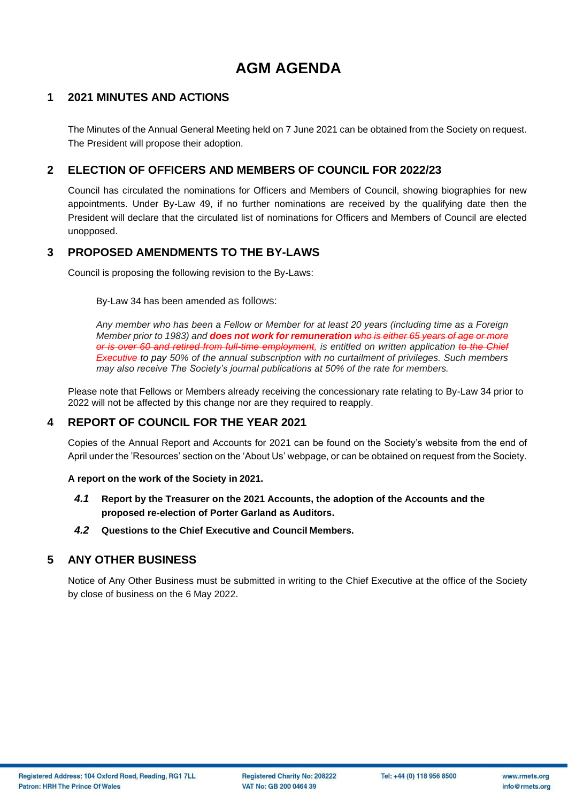# **AGM AGENDA**

### **1 2021 MINUTES AND ACTIONS**

The Minutes of the Annual General Meeting held on 7 June 2021 can be obtained from the Society on request. The President will propose their adoption.

### **2 ELECTION OF OFFICERS AND MEMBERS OF COUNCIL FOR 2022/23**

Council has circulated the nominations for Officers and Members of Council, showing biographies for new appointments. Under By-Law 49, if no further nominations are received by the qualifying date then the President will declare that the circulated list of nominations for Officers and Members of Council are elected unopposed.

#### **3 PROPOSED AMENDMENTS TO THE BY-LAWS**

Council is proposing the following revision to the By-Laws:

By-Law 34 has been amended as follows:

*Any member who has been a Fellow or Member for at least 20 years (including time as a Foreign Member prior to 1983) and does not work for remuneration who is either 65 years of age or more or is over 60 and retired from full-time employment, is entitled on written application to the Chief Executive to pay 50% of the annual subscription with no curtailment of privileges. Such members may also receive The Society's journal publications at 50% of the rate for members.* 

Please note that Fellows or Members already receiving the concessionary rate relating to By-Law 34 prior to 2022 will not be affected by this change nor are they required to reapply.

#### **4 REPORT OF COUNCIL FOR THE YEAR 2021**

Copies of the Annual Report and Accounts for 2021 can be found on the Society's website from the end of April under the 'Resources' section on the 'About Us' webpage, or can be obtained on request from the Society.

**A report on the work of the Society in 2021.**

- *4.1* **Report by the Treasurer on the 2021 Accounts, the adoption of the Accounts and the proposed re-election of Porter Garland as Auditors.**
- *4.2* **Questions to the Chief Executive and Council Members.**

#### **5 ANY OTHER BUSINESS**

Notice of Any Other Business must be submitted in writing to the Chief Executive at the office of the Society by close of business on the 6 May 2022.